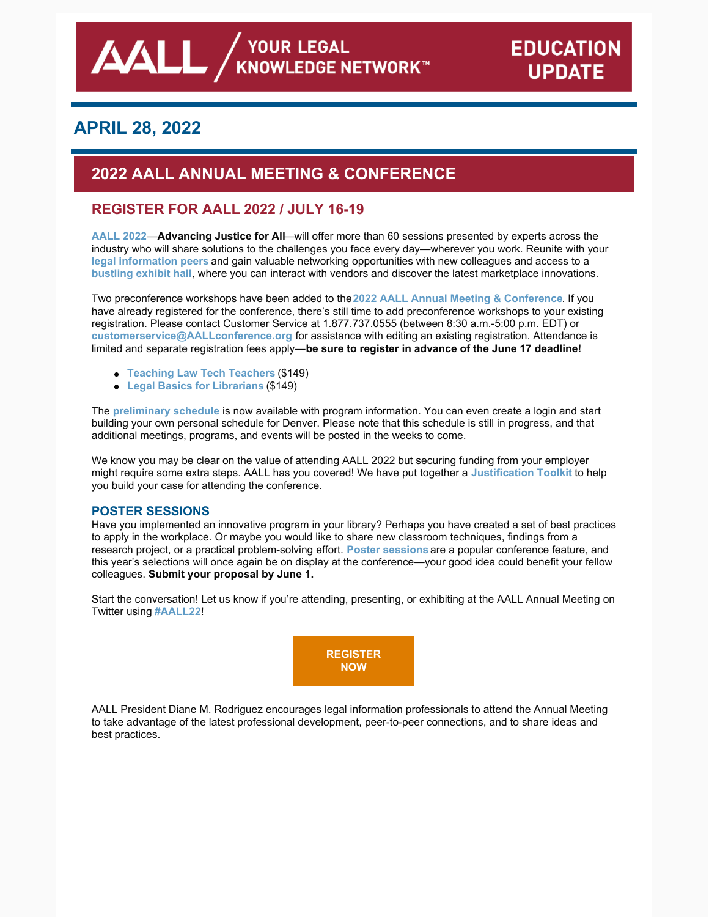# **APRIL 28, 2022**

# **2022 AALL ANNUAL MEETING & CONFERENCE**

## **REGISTER FOR AALL 2022 / JULY 16-19**

**[AALL](https://www.aallnet.org/conference/) 2022**—**Advancing Justice for All**—will offer more than 60 sessions presented by experts across the industry who will share solutions to the challenges you face every day—wherever you work. Reunite with your **legal [information](https://eventmobi.com/aall2022/people/ef0c5398-586b-427d-b542-c1aa49688886) peers** and gain valuable networking opportunities with new colleagues and access to a **[bustling](https://eventmobi.com/aall2022/companies/05062b8e-7851-4f1a-a344-971a35ae2dd6) exhibit hall**, where you can interact with vendors and discover the latest marketplace innovations.

Two preconference workshops have been added to the**2022 AALL Annual Meeting & [Conference](https://www.aallnet.org/conference/)**. If you have already registered for the conference, there's still time to add preconference workshops to your existing registration. Please contact Customer Service at 1.877.737.0555 (between 8:30 a.m.-5:00 p.m. EDT) or **[customerservice@AALLconference.org](mailto:customerservice@AALLconference.org)** for assistance with editing an existing registration. Attendance is limited and separate registration fees apply—**be sure to register in advance of the June 17 deadline!**

- **[Teaching](https://eventmobi.com/aall2022/agenda/a726b21f-5b6b-4478-8355-f5025035fcf1/session/dffcb605-8c70-4fed-97a2-d7a6dc09e469) Law Tech Teachers** (\$149)
- **Legal Basics for [Librarians](https://eventmobi.com/aall2022/agenda/a726b21f-5b6b-4478-8355-f5025035fcf1/session/7ee0ac44-536a-49ab-8e5f-b65575a8102c)** (\$149)

The **[preliminary](https://eventmobi.com/aall2022/) schedule** is now available with program information. You can even create a login and start building your own personal schedule for Denver. Please note that this schedule is still in progress, and that additional meetings, programs, and events will be posted in the weeks to come.

We know you may be clear on the value of attending AALL 2022 but securing funding from your employer might require some extra steps. AALL has you covered! We have put together a **[Justification](https://www.aallnet.org/conference/wp-content/uploads/sites/18/2022/04/AALL-Annual-Meeting-Justification-Toolkit-FINAL-WEB.pdf) Toolkit** to help you build your case for attending the conference.

### **POSTER SESSIONS**

Have you implemented an innovative program in your library? Perhaps you have created a set of best practices to apply in the workplace. Or maybe you would like to share new classroom techniques, findings from a research project, or a practical problem-solving effort. **Poster [sessions](https://www.aallnet.org/conference/resources/call-poster-sessions/)** are a popular conference feature, and this year's selections will once again be on display at the conference—your good idea could benefit your fellow colleagues. **Submit your proposal by June 1.**

Start the conversation! Let us know if you're attending, presenting, or exhibiting at the AALL Annual Meeting on Twitter using **[#AALL22](https://twitter.com/search?q=AALL22&src=typed_query)**!



AALL President Diane M. Rodriguez encourages legal information professionals to attend the Annual Meeting to take advantage of the latest professional development, peer-to-peer connections, and to share ideas and best practices.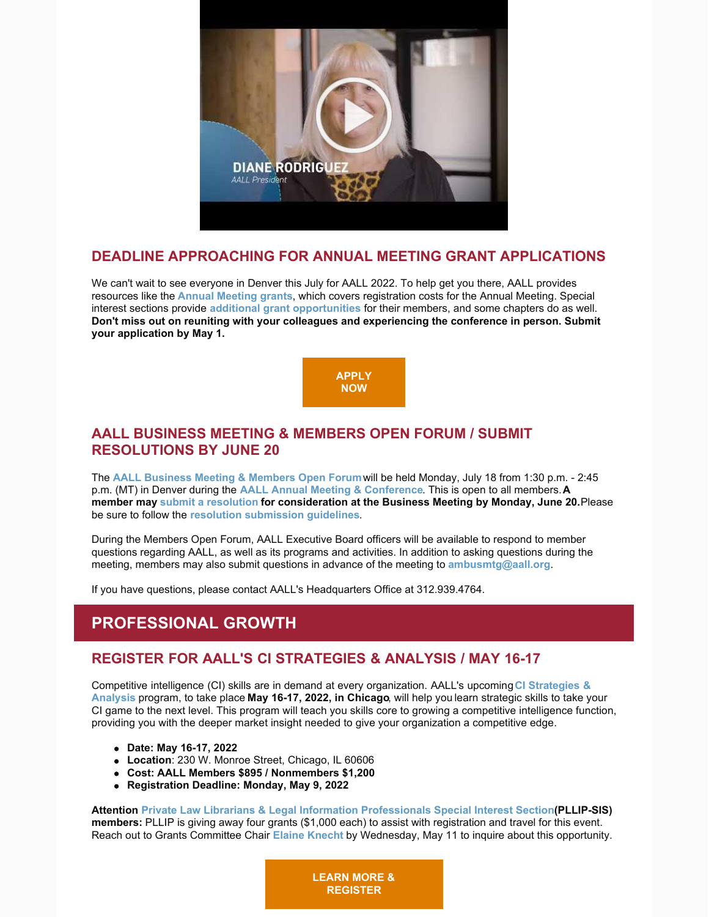

## **DEADLINE APPROACHING FOR ANNUAL MEETING GRANT APPLICATIONS**

We can't wait to see everyone in Denver this July for AALL 2022. To help get you there, AALL provides resources like the **[Annual Meeting grants](https://www.aallnet.org/education-training/grants/annual-meeting-grants/)**, which covers registration costs for the Annual Meeting. Special interest sections provide **[additional grant opportunities](https://www.aallnet.org/education-training/grants/sis-sponsored-grants/)** for their members, and some chapters do as well. **Don't miss out on reuniting with your colleagues and experiencing the conference in person. Submit your application by May 1.**



## **AALL BUSINESS MEETING & MEMBERS OPEN FORUM / SUBMIT RESOLUTIONS BY JUNE 20**

The **[AALL Business Meeting & Members Open Forum](https://eventmobi.com/aall2022/agenda/00000000-0000-0000-0000-4147454e4441/1a79cf05-071f-4233-a9c5-7935db814c95)** will be held Monday, July 18 from 1:30 p.m. - 2:45 p.m. (MT) in Denver during the **[AALL Annual Meeting & Conference](https://www.aallnet.org/conference/)**. This is open to all members. **A member may [submit a resolution](https://www.aallnet.org/about-us/what-we-do/resolutions/resolution-submission-form/) for consideration at the Business Meeting by Monday, June 20.** Please be sure to follow the **[resolution submission guidelines](https://www.aallnet.org/about-us/what-we-do/resolutions/resolution-submission-form/resolution-submission-procedures/)**.

During the Members Open Forum, AALL Executive Board officers will be available to respond to member questions regarding AALL, as well as its programs and activities. In addition to asking questions during the meeting, members may also submit questions in advance of the meeting to **[ambusmtg@aall.org](mailto:ambusmtg@aall.org)**.

If you have questions, please contact AALL's Headquarters Office at 312.939.4764.

# **PROFESSIONAL GROWTH**

## **REGISTER FOR AALL'S CI STRATEGIES & ANALYSIS / MAY 16-17**

[Competitive intelligence \(CI\) skills are in demand at every organization. AALL's upcomin](https://www.aallnet.org/education-training/in-person-programs-seminars/competitive-intelligence-series/ci-strategies-analysis/)g**CI Strategies & Analysis** program, to take place **May 16-17, 2022, in Chicago**, will help you learn strategic skills to take your CI game to the next level. This program will teach you skills core to growing a competitive intelligence function, providing you with the deeper market insight needed to give your organization a competitive edge.

- **Date: May 16-17, 2022**
- **Location**: 230 W. Monroe Street, Chicago, IL 60606
- **Cost: AALL Members \$895 / Nonmembers \$1,200**
- **Registration Deadline: Monday, May 9, 2022**

**Attention [Private Law Librarians & Legal Information Professionals Special Interest Section](https://www.aallnet.org/pllipsis/) (PLLIP-SIS) members:** PLLIP is giving away four grants (\$1,000 each) to assist with registration and travel for this event. Reach out to Grants Committee Chair **[Elaine Knecht](mailto:eknecht@barclaydamon.com)** by Wednesday, May 11 to inquire about this opportunity.

> **[LEARN MORE &](https://www.aallnet.org/education-training/in-person-programs-seminars/competitive-intelligence-series/ci-strategies-analysis/) REGISTER**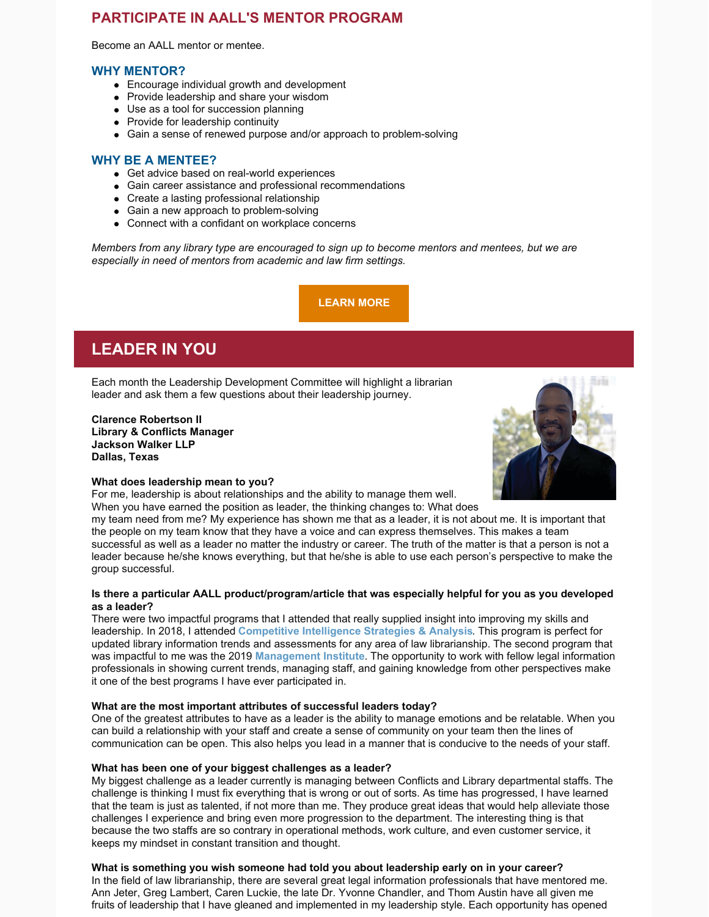## **PARTICIPATE IN AALL'S MENTOR PROGRAM**

Become an AALL mentor or mentee.

### **WHY MENTOR?**

- Encourage individual growth and development
- Provide leadership and share your wisdom
- Use as a tool for succession planning
- Provide for leadership continuity
- Gain a sense of renewed purpose and/or approach to problem-solving

### **WHY BE A MENTEE?**

- Get advice based on real-world experiences
- Gain career assistance and professional recommendations
- Create a lasting professional relationship
- Gain a new approach to problem-solving
- Connect with a confidant on workplace concerns

*Members from any library type are encouraged to sign up to become mentors and mentees, but we are especially in need of mentors from academic and law firm settings.*

**[LEARN MORE](https://www.aallnet.org/careers/mentor-program/)**

# **LEADER IN YOU**

Each month the Leadership Development Committee will highlight a librarian leader and ask them a few questions about their leadership journey.

**Clarence Robertson II Library & Conflicts Manager Jackson Walker LLP Dallas, Texas**

#### **What does leadership mean to you?**

For me, leadership is about relationships and the ability to manage them well. When you have earned the position as leader, the thinking changes to: What does

my team need from me? My experience has shown me that as a leader, it is not about me. It is important that the people on my team know that they have a voice and can express themselves. This makes a team successful as well as a leader no matter the industry or career. The truth of the matter is that a person is not a leader because he/she knows everything, but that he/she is able to use each person's perspective to make the group successful.

#### **Is there a particular AALL product/program/article that was especially helpful for you as you developed as a leader?**

There were two impactful programs that I attended that really supplied insight into improving my skills and leadership. In 2018, I attended **[Competitive Intelligence Strategies & Analysis](https://www.aallnet.org/education-training/in-person-programs-seminars/competitive-intelligence-series/ci-strategies-analysis/)**. This program is perfect for updated library information trends and assessments for any area of law librarianship. The second program that was impactful to me was the 2019 **[Management Institute](https://www.aallnet.org/education-training/in-person-programs-seminars/management-institute/)**. The opportunity to work with fellow legal information professionals in showing current trends, managing staff, and gaining knowledge from other perspectives make it one of the best programs I have ever participated in.

#### **What are the most important attributes of successful leaders today?**

One of the greatest attributes to have as a leader is the ability to manage emotions and be relatable. When you can build a relationship with your staff and create a sense of community on your team then the lines of communication can be open. This also helps you lead in a manner that is conducive to the needs of your staff.

#### **What has been one of your biggest challenges as a leader?**

My biggest challenge as a leader currently is managing between Conflicts and Library departmental staffs. The challenge is thinking I must fix everything that is wrong or out of sorts. As time has progressed, I have learned that the team is just as talented, if not more than me. They produce great ideas that would help alleviate those challenges I experience and bring even more progression to the department. The interesting thing is that because the two staffs are so contrary in operational methods, work culture, and even customer service, it keeps my mindset in constant transition and thought.

### **What is something you wish someone had told you about leadership early on in your career?**

In the field of law librarianship, there are several great legal information professionals that have mentored me. Ann Jeter, Greg Lambert, Caren Luckie, the late Dr. Yvonne Chandler, and Thom Austin have all given me fruits of leadership that I have gleaned and implemented in my leadership style. Each opportunity has opened

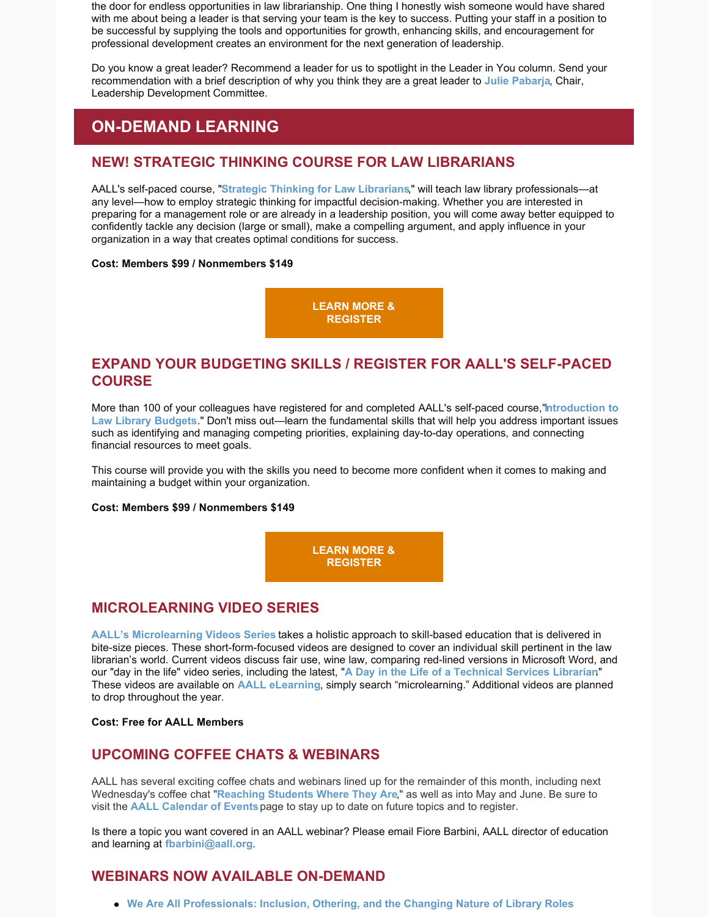the door for endless opportunities in law librarianship. One thing I honestly wish someone would have shared with me about being a leader is that serving your team is the key to success. Putting your staff in a position to be successful by supplying the tools and opportunities for growth, enhancing skills, and encouragement for professional development creates an environment for the next generation of leadership.

Do you know a great leader? Recommend a leader for us to spotlight in the Leader in You column. Send your recommendation with a brief description of why you think they are a great leader to **[Julie Pabarja](mailto:julie.pabarja@lw.com)**, Chair, Leadership Development Committee.

# **ON-DEMAND LEARNING**

## **NEW! STRATEGIC THINKING COURSE FOR LAW LIBRARIANS**

AALL's self-paced course, "**[Strategic Thinking for Law Librarians](https://elearning.aallnet.org/products/strategic-thinking-for-law-librarians)**," will teach law library professionals—at any level—how to employ strategic thinking for impactful decision-making. Whether you are interested in preparing for a management role or are already in a leadership position, you will come away better equipped to confidently tackle any decision (large or small), make a compelling argument, and apply influence in your organization in a way that creates optimal conditions for success.

#### **Cost: Members \$99 / Nonmembers \$149**

**[LEARN MORE &](https://elearning.aallnet.org/products/strategic-thinking-for-law-librarians) REGISTER**

## **EXPAND YOUR BUDGETING SKILLS / REGISTER FOR AALL'S SELF-PACED COURSE**

[More than 100 of your colleagues have registered for and completed AALL's self-paced course,](https://elearning.aallnet.org/products/introduction-to-law-library-budgets-2)"**Introduction to Law Library Budgets**." Don't miss out—learn the fundamental skills that will help you address important issues such as identifying and managing competing priorities, explaining day-to-day operations, and connecting financial resources to meet goals.

This course will provide you with the skills you need to become more confident when it comes to making and maintaining a budget within your organization.

#### **Cost: Members \$99 / Nonmembers \$149**

**[LEARN MORE &](https://elearning.aallnet.org/products/introduction-to-law-library-budgets-2) REGISTER**

## **MICROLEARNING VIDEO SERIES**

**[AALL's Microlearning Videos Series](https://elearning.aallnet.org/catalog#form_type=catalog-filter&page=1&webinar_type=0&product_type%5B%5D=2467&date%5Bstart%5D=&date%5Bend%5D=&keywords=&sort_by=new_to_old)** takes a holistic approach to skill-based education that is delivered in bite-size pieces. These short-form-focused videos are designed to cover an individual skill pertinent in the law librarian's world. Current videos discuss fair use, wine law, comparing red-lined versions in Microsoft Word, and our "day in the life" video series, including the latest, "**[A Day in the Life of a Technical Services Librarian](https://elearning.aallnet.org/products/microlearning-video-series-a-day-in-the-life-of-a-technical-services-librarian?ticket=ST-1651003714-ikt91qN0bqG72ERmcCjguHQXhs2kl6dG)**." These videos are available on **[AALL eLearning](https://elearning.aallnet.org/)**, simply search "microlearning." Additional videos are planned to drop throughout the year.

#### **Cost: Free for AALL Members**

## **UPCOMING COFFEE CHATS & WEBINARS**

AALL has several exciting coffee chats and webinars lined up for the remainder of this month, including next Wednesday's coffee chat "**[Reaching Students Where They Are](https://www.aallnet.org/forms/meeting/MeetingFormPublic/view?id=8F4E300000211)**," as well as into May and June. Be sure to visit the **[AALL Calendar of Events](https://www.aallnet.org/forms/MeetingCalendar/)** page to stay up to date on future topics and to register.

Is there a topic you want covered in an AALL webinar? Please email Fiore Barbini, AALL director of education and learning at **[fbarbini@aall.org](mailto:fbarbini@aall.org)**.

## **WEBINARS NOW AVAILABLE ON-DEMAND**

**[We Are All Professionals: Inclusion, Othering, and the Changing Nature of Library Roles](https://elearning.aallnet.org/products/we-are-all-professionals-inclusion-othering-and-the-changing-nature-of-library-roles)**